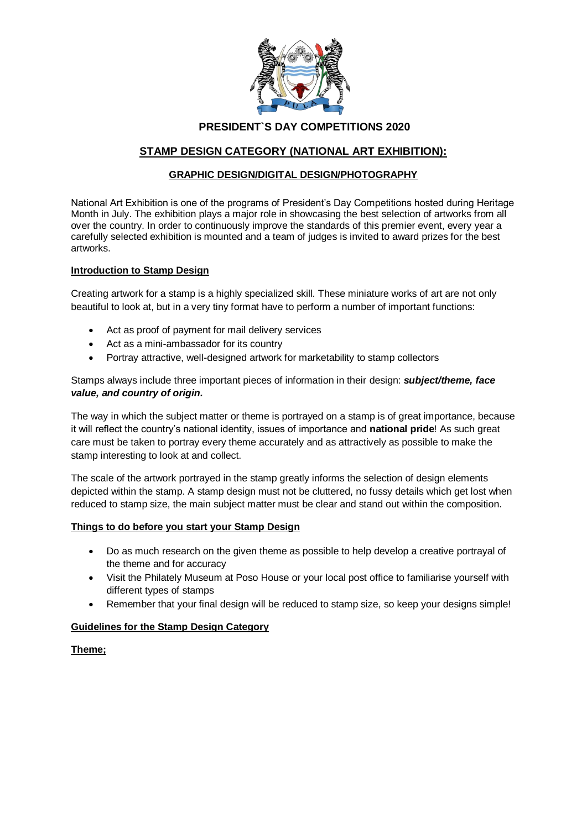

## **PRESIDENT`S DAY COMPETITIONS 2020**

# **STAMP DESIGN CATEGORY (NATIONAL ART EXHIBITION):**

### **GRAPHIC DESIGN/DIGITAL DESIGN/PHOTOGRAPHY**

National Art Exhibition is one of the programs of President's Day Competitions hosted during Heritage Month in July. The exhibition plays a major role in showcasing the best selection of artworks from all over the country. In order to continuously improve the standards of this premier event, every year a carefully selected exhibition is mounted and a team of judges is invited to award prizes for the best artworks.

### **Introduction to Stamp Design**

Creating artwork for a stamp is a highly specialized skill. These miniature works of art are not only beautiful to look at, but in a very tiny format have to perform a number of important functions:

- Act as proof of payment for mail delivery services
- Act as a mini-ambassador for its country
- Portray attractive, well-designed artwork for marketability to stamp collectors

Stamps always include three important pieces of information in their design: *subject/theme, face value, and country of origin.*

The way in which the subject matter or theme is portrayed on a stamp is of great importance, because it will reflect the country's national identity, issues of importance and **national pride**! As such great care must be taken to portray every theme accurately and as attractively as possible to make the stamp interesting to look at and collect.

The scale of the artwork portrayed in the stamp greatly informs the selection of design elements depicted within the stamp. A stamp design must not be cluttered, no fussy details which get lost when reduced to stamp size, the main subject matter must be clear and stand out within the composition.

#### **Things to do before you start your Stamp Design**

- Do as much research on the given theme as possible to help develop a creative portrayal of the theme and for accuracy
- Visit the Philately Museum at Poso House or your local post office to familiarise yourself with different types of stamps
- Remember that your final design will be reduced to stamp size, so keep your designs simple!

### **Guidelines for the Stamp Design Category**

### **Theme;**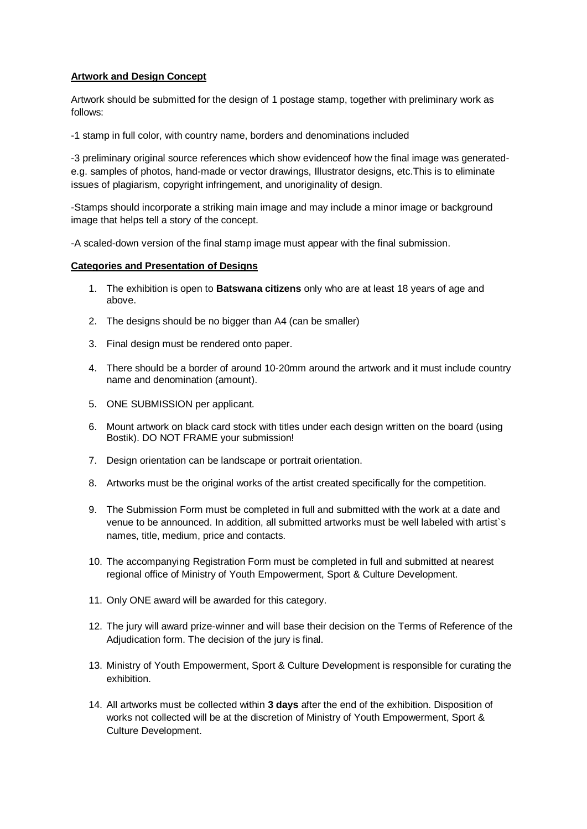### **Artwork and Design Concept**

Artwork should be submitted for the design of 1 postage stamp, together with preliminary work as follows:

-1 stamp in full color, with country name, borders and denominations included

-3 preliminary original source references which show evidenceof how the final image was generatede.g. samples of photos, hand-made or vector drawings, Illustrator designs, etc.This is to eliminate issues of plagiarism, copyright infringement, and unoriginality of design.

-Stamps should incorporate a striking main image and may include a minor image or background image that helps tell a story of the concept.

-A scaled-down version of the final stamp image must appear with the final submission.

### **Categories and Presentation of Designs**

- 1. The exhibition is open to **Batswana citizens** only who are at least 18 years of age and above.
- 2. The designs should be no bigger than A4 (can be smaller)
- 3. Final design must be rendered onto paper.
- 4. There should be a border of around 10-20mm around the artwork and it must include country name and denomination (amount).
- 5. ONE SUBMISSION per applicant.
- 6. Mount artwork on black card stock with titles under each design written on the board (using Bostik). DO NOT FRAME your submission!
- 7. Design orientation can be landscape or portrait orientation.
- 8. Artworks must be the original works of the artist created specifically for the competition.
- 9. The Submission Form must be completed in full and submitted with the work at a date and venue to be announced. In addition, all submitted artworks must be well labeled with artist`s names, title, medium, price and contacts.
- 10. The accompanying Registration Form must be completed in full and submitted at nearest regional office of Ministry of Youth Empowerment, Sport & Culture Development.
- 11. Only ONE award will be awarded for this category.
- 12. The jury will award prize-winner and will base their decision on the Terms of Reference of the Adjudication form. The decision of the jury is final.
- 13. Ministry of Youth Empowerment, Sport & Culture Development is responsible for curating the exhibition.
- 14. All artworks must be collected within **3 days** after the end of the exhibition. Disposition of works not collected will be at the discretion of Ministry of Youth Empowerment, Sport & Culture Development.